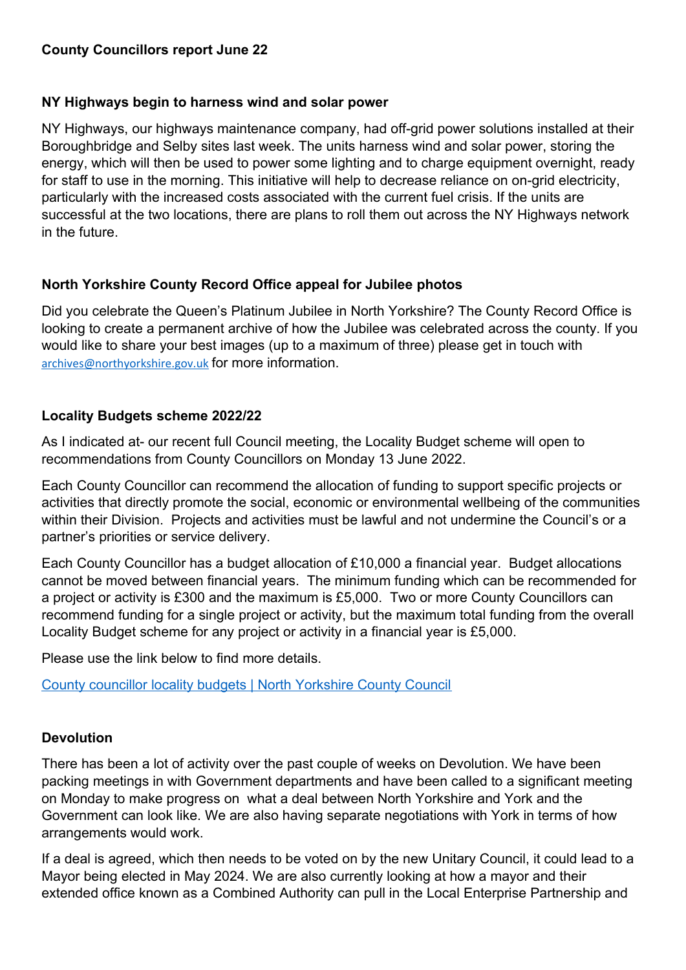# **County Councillors report June 22**

### **NY Highways begin to harness wind and solar power**

NY Highways, our highways maintenance company, had off-grid power solutions installed at their Boroughbridge and Selby sites last week. The units harness wind and solar power, storing the energy, which will then be used to power some lighting and to charge equipment overnight, ready for staff to use in the morning. This initiative will help to decrease reliance on on-grid electricity, particularly with the increased costs associated with the current fuel crisis. If the units are successful at the two locations, there are plans to roll them out across the NY Highways network in the future.

# **North Yorkshire County Record Office appeal for Jubilee photos**

Did you celebrate the Queen's Platinum Jubilee in North Yorkshire? The County Record Office is looking to create a permanent archive of how the Jubilee was celebrated across the county. If you would like to share your best images (up to a maximum of three) please get in touch with [archives@northyorkshire.gov.uk](mailto:archives@northyorkshire.gov.uk) for more information.

# **Locality Budgets scheme 2022/22**

As I indicated at- our recent full Council meeting, the Locality Budget scheme will open to recommendations from County Councillors on Monday 13 June 2022.

Each County Councillor can recommend the allocation of funding to support specific projects or activities that directly promote the social, economic or environmental wellbeing of the communities within their Division. Projects and activities must be lawful and not undermine the Council's or a partner's priorities or service delivery.

Each County Councillor has a budget allocation of £10,000 a financial year. Budget allocations cannot be moved between financial years. The minimum funding which can be recommended for a project or activity is £300 and the maximum is £5,000. Two or more County Councillors can recommend funding for a single project or activity, but the maximum total funding from the overall Locality Budget scheme for any project or activity in a financial year is £5,000.

Please use the link below to find more details.

[County councillor locality budgets | North Yorkshire County Council](https://www.northyorks.gov.uk/county-councillor-locality-budgets)

# **Devolution**

There has been a lot of activity over the past couple of weeks on Devolution. We have been packing meetings in with Government departments and have been called to a significant meeting on Monday to make progress on what a deal between North Yorkshire and York and the Government can look like. We are also having separate negotiations with York in terms of how arrangements would work.

If a deal is agreed, which then needs to be voted on by the new Unitary Council, it could lead to a Mayor being elected in May 2024. We are also currently looking at how a mayor and their extended office known as a Combined Authority can pull in the Local Enterprise Partnership and